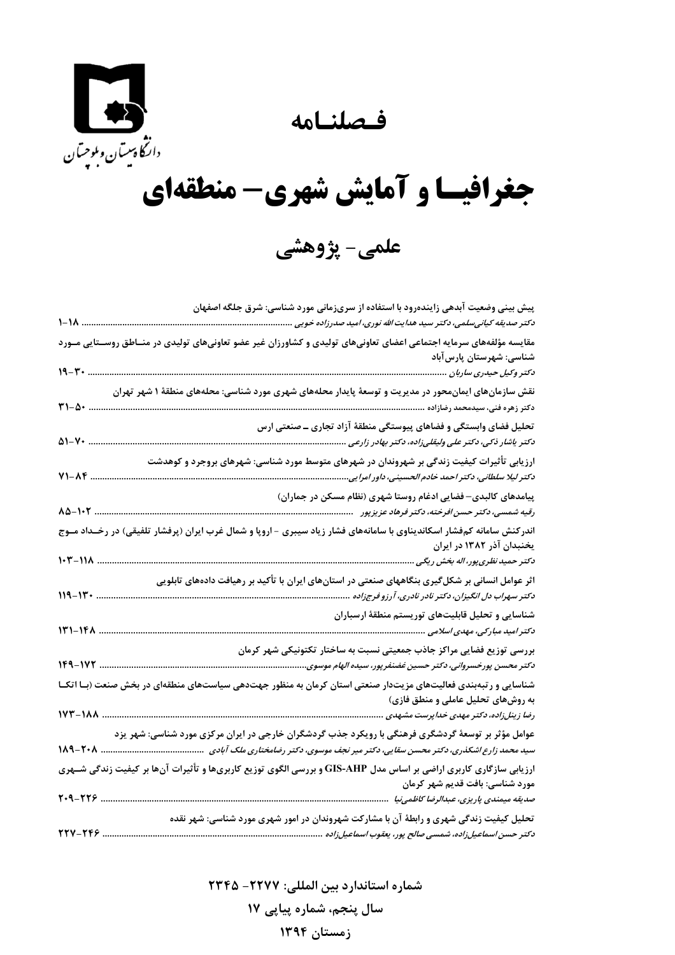فصلنامه



## جغرافیسا و آمایش شهری- منطقهای

علمي- پژوهشي

| پیش بینی وضعیت آبدهی زایندهرود با استفاده از سریزمانی مورد شناسی: شرق جلگه اصفهان                                                                                                                              |
|----------------------------------------------------------------------------------------------------------------------------------------------------------------------------------------------------------------|
| د کتر صدیقه کیانی سلمی، دکتر سید هدایت الله نوری، امید صدرزاده خویی<br>1-18                                                                                                                                    |
| مقایسه مؤلفههای سرمایه اجتماعی اعضای تعاونیهای تولیدی و کشاورزان غیر عضو تعاونیهای تولیدی در منــاطق روســتایی مــورد<br>شناسى: شهرستان پارسآباد                                                               |
| 19-30<br>دکتر وکیل حیدری ساربان                                                                                                                                                                                |
| نقش سازمانهای ایمانمحور در مدیریت و توسعهٔ پایدار محلههای شهری مورد شناسی: محلههای منطقهٔ ۱ شهر تهران                                                                                                          |
| $Y1-\Delta$<br>دکتر زهره فنی، سیدمحمد رضازاده                                                                                                                                                                  |
| تحلیل فضای وابستگی و فضاهای پیوستگی منطقهٔ آزاد تجاری ــ صنعتی ارس<br>$\Delta$ 1- $V$<br>دكتر ياشار ذكى، دكتر على وليقلىزاده، دكتر بهادر زارعى                                                                 |
| ارزیابی تأثیرات کیفیت زندگی بر شهروندان در شهرهای متوسط مورد شناسی: شهرهای بروجرد و کوهدشت<br>$Y1 - AF$<br>دکتر لیلا سلطانی، دکتر احمد خادم الحسینی، داور امرایی                                               |
| پیامدهای کالبدی–فضایی ادغام روستا شهری (نظام مسکن در جماران)                                                                                                                                                   |
| $\Lambda\Delta-\mathcal{N}$ .<br>رقیه شمسی، دکتر حسن افرخته، دکتر فرهاد عزیزپور                                                                                                                                |
| اندرکنش سامانه کمفشار اسکاندیناوی با سامانههای فشار زیاد سیبری –اروپا و شمال غرب ایران (پرفشار تلفیقی) در رخــداد مــوج<br>یخنبدان آذر ۱۳۸۲ در ایران                                                           |
| 103-118<br>دکتر حمید نظری پور، اله بخش ریگی                                                                                                                                                                    |
| اثر عوامل انسانی بر شکلگیری بنگاههای صنعتی در استانهای ایران با تأکید بر رهیافت دادههای تابلویی<br>$119 - 11.$<br>د کتر سهراب دل انگیزان، د کتر نادر نادری، آرزو فرجزاده .                                     |
| شناسایی و تحلیل قابلیتهای توریستم منطقهٔ ارسباران                                                                                                                                                              |
| ۱۴۸–۱۴۸<br>دكتر اميد مباركي، مهدي اسلامي                                                                                                                                                                       |
| بررسی توزیع فضایی مراکز جاذب جمعیتی نسبت به ساختار تکتونیکی شهر کرمان<br>۱۷۲-۱۴۹<br>د کتر محسن پورخسروانی، د کتر حسین غضنفرپور، سیده الهام موسوی.                                                              |
| شناسایی و رتبهبندی فعالیتهای مزیتدار صنعتی استان کرمان به منظور جهتدهی سیاستهای منطقهای در بخش صنعت (بـا اتکـا                                                                                                 |
| به روشهای تحلیل عاملی و منطق فازی)<br>رضا زینلزاده، دکتر مهدی خداپرست مشهدی<br>173-188                                                                                                                         |
| عوامل مؤثر بر توسعهٔ گردشگری فرهنگی با رویکرد جذب گردشگران خارجی در ایران مرکزی مورد شناسی: شهر یزد<br>سید محمد زارع اشکذری، دکتر محسن سقایی، دکتر میر نجف موسوی، دکتر رضامختاری ملک آبادی سیسیسیسیسیسیسیسی    |
| ارزیابی سازگاری کاربری اراضی بر اساس مدل GIS-AHP و بررسی الگوی توزیع کاربریها و تأثیرات آنها بر کیفیت زندگی شــهری<br>مورد شناسی: بافت قدیم شهر کرمان<br>$1.9 - 119$<br>صدیقه میمندی پاریزی، عبدالرضا کاظمینیا |
|                                                                                                                                                                                                                |
| تحلیل کیفیت زندگی شهری و رابطهٔ آن با مشارکت شهروندان در امور شهری مورد شناسی: شهر نقده<br>TTV-TFS.<br>د کتر حسن اسماعیلiزاده، شمسی صالح پور، یعقوب اسماعیلiاده                                                |

شماره استاندارد بین المللی: ۲۲۷۷- ۲۳۴۵

سال پنجم، شماره پیاپی ۱۷

زمستان ۱۳۹۴